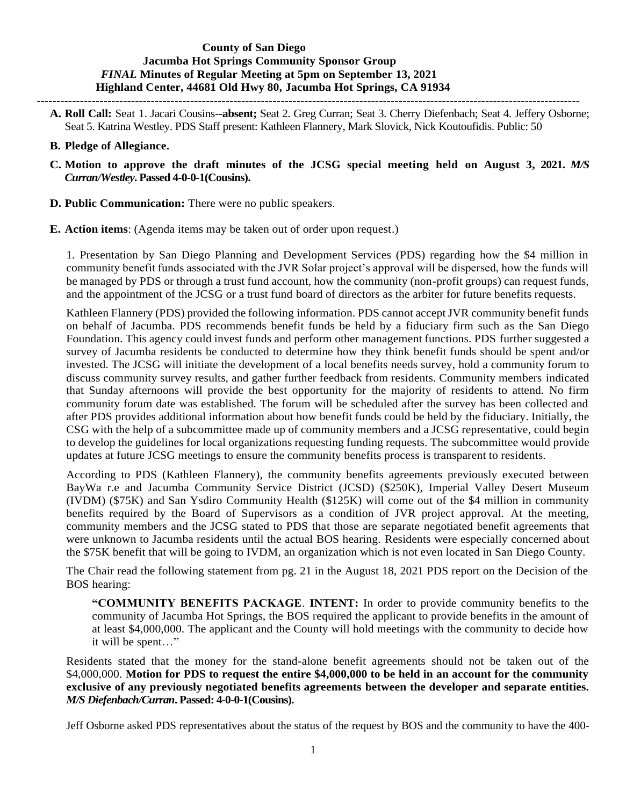## **County of San Diego Jacumba Hot Springs Community Sponsor Group**  *FINAL* **Minutes of Regular Meeting at 5pm on September 13, 2021 Highland Center, 44681 Old Hwy 80, Jacumba Hot Springs, CA 91934**

**------------------------------------------------------------------------------------------------------------------------------------------**

**A. Roll Call:** Seat 1. Jacari Cousins--**absent;** Seat 2. Greg Curran; Seat 3. Cherry Diefenbach; Seat 4. Jeffery Osborne; Seat 5. Katrina Westley. PDS Staff present: Kathleen Flannery, Mark Slovick, Nick Koutoufidis. Public: 50

## **B. Pledge of Allegiance.**

- **C. Motion to approve the draft minutes of the JCSG special meeting held on August 3, 2021.** *M/S Curran/Westley***. Passed 4-0-0-1(Cousins).**
- **D. Public Communication:** There were no public speakers.
- **E. Action items**: (Agenda items may be taken out of order upon request.)

1. Presentation by San Diego Planning and Development Services (PDS) regarding how the \$4 million in community benefit funds associated with the JVR Solar project's approval will be dispersed, how the funds will be managed by PDS or through a trust fund account, how the community (non-profit groups) can request funds, and the appointment of the JCSG or a trust fund board of directors as the arbiter for future benefits requests.

Kathleen Flannery (PDS) provided the following information. PDS cannot accept JVR community benefit funds on behalf of Jacumba. PDS recommends benefit funds be held by a fiduciary firm such as the San Diego Foundation. This agency could invest funds and perform other management functions. PDS further suggested a survey of Jacumba residents be conducted to determine how they think benefit funds should be spent and/or invested. The JCSG will initiate the development of a local benefits needs survey, hold a community forum to discuss community survey results, and gather further feedback from residents. Community members indicated that Sunday afternoons will provide the best opportunity for the majority of residents to attend. No firm community forum date was established. The forum will be scheduled after the survey has been collected and after PDS provides additional information about how benefit funds could be held by the fiduciary. Initially, the CSG with the help of a subcommittee made up of community members and a JCSG representative, could begin to develop the guidelines for local organizations requesting funding requests. The subcommittee would provide updates at future JCSG meetings to ensure the community benefits process is transparent to residents.

According to PDS (Kathleen Flannery), the community benefits agreements previously executed between BayWa r.e and Jacumba Community Service District (JCSD) (\$250K), Imperial Valley Desert Museum (IVDM) (\$75K) and San Ysdiro Community Health (\$125K) will come out of the \$4 million in community benefits required by the Board of Supervisors as a condition of JVR project approval. At the meeting, community members and the JCSG stated to PDS that those are separate negotiated benefit agreements that were unknown to Jacumba residents until the actual BOS hearing. Residents were especially concerned about the \$75K benefit that will be going to IVDM, an organization which is not even located in San Diego County.

The Chair read the following statement from pg. 21 in the August 18, 2021 PDS report on the Decision of the BOS hearing:

**"COMMUNITY BENEFITS PACKAGE**. **INTENT:** In order to provide community benefits to the community of Jacumba Hot Springs, the BOS required the applicant to provide benefits in the amount of at least \$4,000,000. The applicant and the County will hold meetings with the community to decide how it will be spent…"

Residents stated that the money for the stand-alone benefit agreements should not be taken out of the \$4,000,000. **Motion for PDS to request the entire \$4,000,000 to be held in an account for the community exclusive of any previously negotiated benefits agreements between the developer and separate entities.**  *M/S Diefenbach/Curran***. Passed: 4-0-0-1(Cousins).**

Jeff Osborne asked PDS representatives about the status of the request by BOS and the community to have the 400-